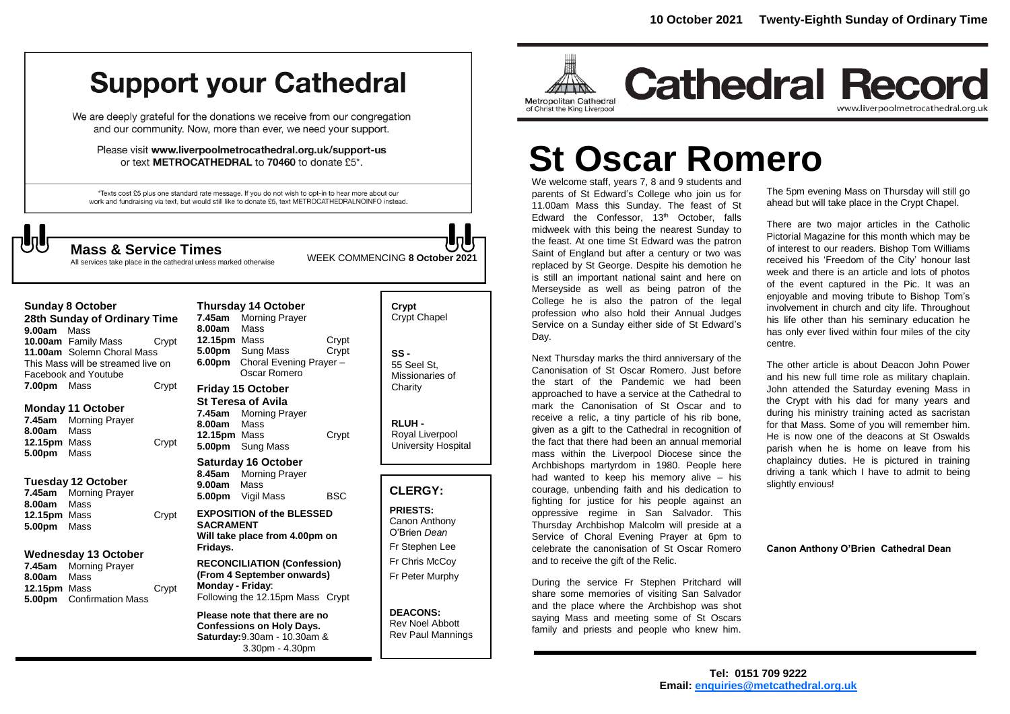# **Support your Cathedral**

We are deeply grateful for the donations we receive from our congregation and our community. Now, more than ever, we need your support.

Please visit www.liverpoolmetrocathedral.org.uk/support-us or text METROCATHEDRAL to 70460 to donate £5\*.

\*Texts cost £5 plus one standard rate message. If you do not wish to opt-in to hear more about our work and fundraising via text, but would still like to donate £5, text METROCATHEDRALNOINFO instead.

# $\sqrt{5}$

WEEK COMMENCING **<sup>8</sup> October <sup>2021</sup> Mass & Service Times**

All services take place in the cathedral unless marked otherwise

| Sunday 8 October<br>28th Sunday of Ordinary Time<br>9.00am Mass                                                 |                                                            |       | <b>Thursday 14 October</b><br>7.45am Morning Prayer<br>8.00am<br>Mass                                                |                                                                                |                | Crypt<br><b>Crypt Chapel</b>                                     |
|-----------------------------------------------------------------------------------------------------------------|------------------------------------------------------------|-------|----------------------------------------------------------------------------------------------------------------------|--------------------------------------------------------------------------------|----------------|------------------------------------------------------------------|
| 10.00am Family Mass<br>11.00am Solemn Choral Mass<br>This Mass will be streamed live on<br>Facebook and Youtube |                                                            | Crypt | 12.15pm Mass<br>6.00pm                                                                                               | 5.00pm Sung Mass<br>Choral Evening Prayer -<br>Oscar Romero                    | Crypt<br>Crypt | $SS -$<br>55 Seel St.<br><b>Missionaries</b>                     |
| <b>7.00pm</b> Mass                                                                                              |                                                            | Crypt |                                                                                                                      | <b>Friday 15 October</b>                                                       |                | Charity                                                          |
| 8.00am<br>12.15pm Mass<br>5.00pm                                                                                | Monday 11 October<br>7.45am Morning Prayer<br>Mass<br>Mass | Crypt | 7.45am<br>8.00am<br>12.15pm Mass                                                                                     | <b>St Teresa of Avila</b><br><b>Morning Prayer</b><br>Mass<br>5.00pm Sung Mass | Crypt          | RLUH-<br>Royal Liverpo<br>University Ho                          |
|                                                                                                                 |                                                            |       | <b>Saturday 16 October</b>                                                                                           |                                                                                |                |                                                                  |
| 7.45am                                                                                                          | Tuesday 12 October<br><b>Morning Prayer</b>                |       | 9.00am<br>5.00pm                                                                                                     | 8.45am Morning Prayer<br>Mass<br>Vigil Mass                                    | <b>BSC</b>     | <b>CLERGY:</b>                                                   |
| 8.00am<br><b>12.15pm</b> Mass<br>5.00pm                                                                         | Mass<br>Mass                                               | Crypt | <b>EXPOSITION of the BLESSED</b><br><b>SACRAMENT</b><br>Will take place from 4.00pm on<br>Fridays.                   |                                                                                |                | <b>PRIESTS:</b><br>Canon Anthor<br>O'Brien Dean<br>Fr Stephen Le |
| Wednesday 13 October                                                                                            |                                                            |       | <b>RECONCILIATION (Confession)</b>                                                                                   |                                                                                | Fr Chris McCo  |                                                                  |
| 7.45am<br>8.00am<br>12.15pm Mass<br>5.00pm                                                                      | <b>Morning Prayer</b><br>Mass<br><b>Confirmation Mass</b>  | Crypt | (From 4 September onwards)<br>Monday - Friday:<br>Following the 12.15pm Mass Crypt                                   |                                                                                |                | Fr Peter Murp                                                    |
|                                                                                                                 |                                                            |       | Please note that there are no<br><b>Confessions on Holy Days.</b><br>Saturday: 9.30am - 10.30am &<br>3.30pm - 4.30pm |                                                                                |                | <b>DEACONS:</b><br><b>Rev Noel Abb</b><br><b>Rev Paul Mar</b>    |



ny ee ioy. bhy

oott nnings



**Cathedral Record** www.liverpoolmetrocathedral.org.uk

# **St Oscar Romero**

We welcome staff, years 7, 8 and 9 students and parents of St Edward's College who join us for 11.00am Mass this Sunday. The feast of St Edward the Confessor, 13<sup>th</sup> October, falls midweek with this being the nearest Sunday to the feast. At one time St Edward was the patron Saint of England but after a century or two was replaced by St George. Despite his demotion he is still an important national saint and here on If is still an important national saint and here on<br>Merseyside as well as being patron of the<br>College he is also the patron of the legal College he is also the patron of the legal profession who also hold their Annual Judges Service on a Sunday either side of St Edward's Day.

Next Thursday marks the third anniversary of the Canonisation of St Oscar Romero. Just before the start of the Pandemic we had been approached to have a service at the Cathedral to mark the Canonisation of St Oscar and to receive a relic, a tiny particle of his rib bone, given as a gift to the Cathedral in recognition of the fact that there had been an annual memorial mass within the Liverpool Diocese since the Archbishops martyrdom in 1980. People here had wanted to keep his memory alive – his courage, unbending faith and his dedication to fighting for justice for his people against an oppressive regime in San Salvador. This Thursday Archbishop Malcolm will preside at a Service of Choral Evening Prayer at 6pm to celebrate the canonisation of St Oscar Romero and to receive the gift of the Relic.

During the service Fr Stephen Pritchard will share some memories of visiting San Salvador and the place where the Archbishop was shot saying Mass and meeting some of St Oscars family and priests and people who knew him.

The 5pm evening Mass on Thursday will still go ahead but will take place in the Crypt Chapel.

There are two major articles in the Catholic Pictorial Magazine for this month which may be of interest to our readers. Bishop Tom Williams received his 'Freedom of the City' honour last week and there is an article and lots of photos of the event captured in the Pic. It was an enjoyable and moving tribute to Bishop Tom's involvement in church and city life. Throughout his life other than his seminary education he has only ever lived within four miles of the city centre.

The other article is about Deacon John Power and his new full time role as military chaplain. John attended the Saturday evening Mass in the Crypt with his dad for many years and during his ministry training acted as sacristan for that Mass. Some of you will remember him. He is now one of the deacons at St Oswalds parish when he is home on leave from his chaplaincy duties. He is pictured in training driving a tank which I have to admit to being slightly envious!

**Canon Anthony O'Brien Cathedral Dean**